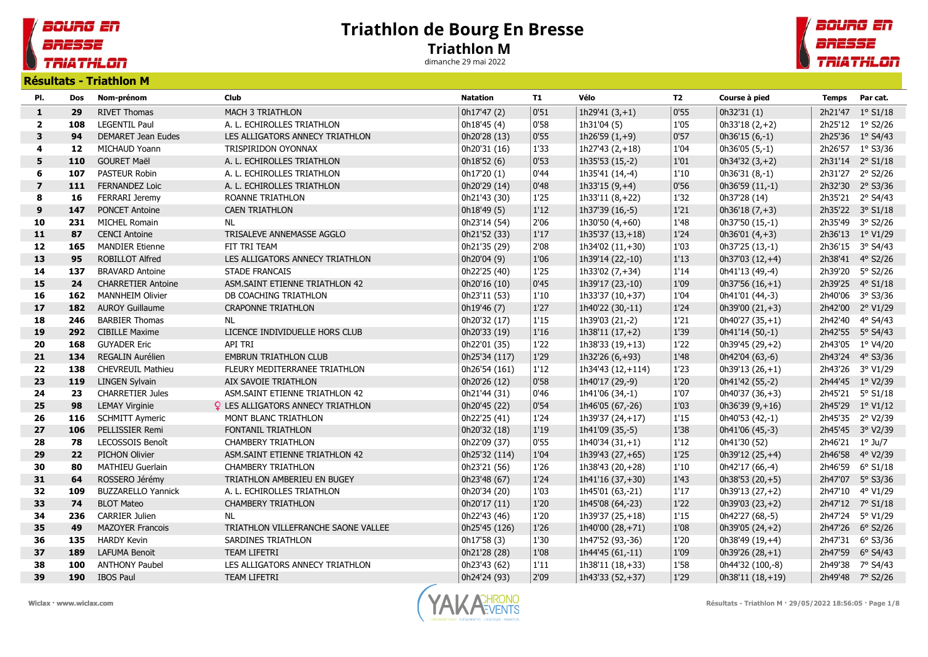## Triathlon de Bourg En Bresse Triathlon M

dimanche 29 mai 2022

## BOURG EN BRESSE **TRIATHLON**

**TRIATHLON** Résultats - Triathlon M

BOURG EN

BRESSE

|                |     | ויו ווטוווסווד - כוסטונסא |                                          |                 |      |                    |                |                    |                 |                   |
|----------------|-----|---------------------------|------------------------------------------|-----------------|------|--------------------|----------------|--------------------|-----------------|-------------------|
| PI.            | Dos | Nom-prénom                | Club                                     | <b>Natation</b> | T1   | Vélo               | T <sub>2</sub> | Course à pied      | <b>Temps</b>    | Par cat.          |
| $\mathbf{1}$   | 29  | <b>RIVET Thomas</b>       | <b>MACH 3 TRIATHLON</b>                  | 0h17'47 (2)     | 0'51 | 1h29'41 $(3, +1)$  | 0'55           | 0h32'31(1)         | 2h21'47         | $1^{\circ}$ S1/18 |
| $\mathbf{2}$   | 108 | <b>LEGENTIL Paul</b>      | A. L. ECHIROLLES TRIATHLON               | 0h18'45 (4)     | 0'58 | 1h31'04 (5)        | 1'05           | $0h33'18(2,+2)$    |                 | 2h25'12 1° S2/26  |
| 3              | 94  | DEMARET Jean Eudes        | LES ALLIGATORS ANNECY TRIATHLON          | 0h20'28 (13)    | 0'55 | 1h26'59 $(1, +9)$  | 0'57           | $0h36'15(6,-1)$    |                 | 2h25'36 1° S4/43  |
| 4              | 12  | MICHAUD Yoann             | TRISPIRIDON OYONNAX                      | 0h20'31 (16)    | 1'33 | $1h27'43(2,+18)$   | 1'04           | $0h36'05(5,-1)$    |                 | 2h26'57 1° S3/36  |
| 5              | 110 | <b>GOURET Maël</b>        | A. L. ECHIROLLES TRIATHLON               | 0h18'52 (6)     | 0'53 | 1h35'53 (15,-2)    | $1'01$         | $0h34'32(3,+2)$    |                 | 2h31'14 2° S1/18  |
| 6              | 107 | PASTEUR Robin             | A. L. ECHIROLLES TRIATHLON               | 0h17'20(1)      | 0'44 | 1h35'41 (14,-4)    | 1'10           | $0h36'31(8,-1)$    | 2h31'27         | 2° S2/26          |
| $\overline{7}$ | 111 | <b>FERNANDEZ Loic</b>     | A. L. ECHIROLLES TRIATHLON               | 0h20'29 (14)    | 0'48 | 1h33'15 $(9, +4)$  | 0'56           | 0h36'59 (11,-1)    |                 | 2h32'30 2° S3/36  |
| 8              | 16  | FERRARI Jeremy            | ROANNE TRIATHLON                         | 0h21'43 (30)    | 1'25 | 1h33'11 (8,+22)    | 1'32           | 0h37'28 (14)       |                 | 2h35'21 2° S4/43  |
| 9              | 147 | <b>PONCET Antoine</b>     | <b>CAEN TRIATHLON</b>                    | 0h18'49 (5)     | 1'12 | 1h37'39 (16,-5)    | 1'21           | $0h36'18(7,+3)$    |                 | 2h35'22 3° S1/18  |
| 10             | 231 | <b>MICHEL Romain</b>      | <b>NL</b>                                | 0h23'14 (54)    | 2'06 | 1h30'50 $(4, +60)$ | 1'48           | 0h37'50 (15,-1)    | 2h35'49         | 3° S2/26          |
| 11             | 87  | <b>CENCI Antoine</b>      | TRISALEVE ANNEMASSE AGGLO                | 0h21'52 (33)    | 1'17 | $1h35'37(13,+18)$  | 1'24           | 0h36'01 $(4, +3)$  |                 | 2h36'13 1° V1/29  |
| 12             | 165 | <b>MANDIER Etienne</b>    | FIT TRI TEAM                             | 0h21'35 (29)    | 2'08 | 1h34'02 (11,+30)   | 1'03           | 0h37'25 (13,-1)    | 2h36'15         | 3° S4/43          |
| 13             | 95  | <b>ROBILLOT Alfred</b>    | LES ALLIGATORS ANNECY TRIATHLON          | 0h20'04 (9)     | 1'06 | 1h39'14 (22,-10)   | 1'13           | 0h37'03 $(12,+4)$  |                 | 2h38'41 4° S2/26  |
| 14             | 137 | <b>BRAVARD Antoine</b>    | <b>STADE FRANCAIS</b>                    | 0h22'25 (40)    | 1'25 | 1h33'02 (7,+34)    | 1'14           | 0h41'13 (49,-4)    |                 | 2h39'20 5° S2/26  |
| 15             | 24  | <b>CHARRETIER Antoine</b> | ASM.SAINT ETIENNE TRIATHLON 42           | 0h20'16 (10)    | 0'45 | 1h39'17 (23,-10)   | 1'09           | $0h37'56(16,+1)$   |                 | 2h39'25 4° S1/18  |
| 16             | 162 | <b>MANNHEIM Olivier</b>   | DB COACHING TRIATHLON                    | 0h23'11 (53)    | 1'10 | 1h33'37 (10,+37)   | 1'04           | 0h41'01 (44,-3)    |                 | 2h40'06 3° S3/36  |
| 17             | 182 | <b>AUROY Guillaume</b>    | <b>CRAPONNE TRIATHLON</b>                | 0h19'46 (7)     | 1'27 | 1h40'22 (30,-11)   | 1'24           | 0h39'00 $(21,+3)$  | 2h42'00         | 2° V1/29          |
| 18             | 246 | <b>BARBIER Thomas</b>     | NL                                       | 0h20'32 (17)    | 1'15 | 1h39'03 (21,-2)    | 1'21           | $0h40'27(35,+1)$   | 2h42'40         | 4° S4/43          |
| 19             | 292 | <b>CIBILLE Maxime</b>     | LICENCE INDIVIDUELLE HORS CLUB           | 0h20'33 (19)    | 1'16 | $1h38'11(17,+2)$   | 1'39           | 0h41'14 (50,-1)    |                 | 2h42'55 5° S4/43  |
| 20             | 168 | <b>GUYADER Eric</b>       | API TRI                                  | 0h22'01 (35)    | 1'22 | $1h38'33(19,+13)$  | 1'22           | 0h39'45 (29,+2)    |                 | 2h43'05 1° V4/20  |
| 21             | 134 | REGALIN Aurélien          | <b>EMBRUN TRIATHLON CLUB</b>             | 0h25'34 (117)   | 1'29 | 1h32'26 (6,+93)    | 1'48           | 0h42'04 (63,-6)    |                 | 2h43'24 4° S3/36  |
| 22             | 138 | <b>CHEVREUIL Mathieu</b>  | FLEURY MEDITERRANEE TRIATHLON            | 0h26'54 (161)   | 1'12 | 1h34'43 (12,+114)  | 1'23           | $0h39'13(26,+1)$   |                 | 2h43'26 3° V1/29  |
| 23             | 119 | <b>LINGEN Sylvain</b>     | AIX SAVOIE TRIATHLON                     | 0h20'26 (12)    | 0'58 | 1h40'17 (29,-9)    | 1'20           | 0h41'42 (55,-2)    |                 | 2h44'45 1° V2/39  |
| 24             | 23  | <b>CHARRETIER Jules</b>   | ASM.SAINT ETIENNE TRIATHLON 42           | 0h21'44 (31)    | 0'46 | 1h41'06 (34,-1)    | 1'07           | 0h40'37 (36,+3)    | 2h45'21         | $5^{\circ}$ S1/18 |
| 25             | 98  | <b>LEMAY Virginie</b>     | <b>Q</b> LES ALLIGATORS ANNECY TRIATHLON | 0h20'45 (22)    | 0'54 | 1h46'05 (67,-26)   | 1'03           | 0h36'39 $(9, +16)$ |                 | 2h45'29 1° V1/12  |
| 26             | 116 | <b>SCHMITT Aymeric</b>    | MONT BLANC TRIATHLON                     | 0h22'25 (41)    | 1'24 | 1h39'37 (24,+17)   | 1'15           | 0h40'53 (42,-1)    |                 | 2h45'35 2° V2/39  |
| 27             | 106 | PELLISSIER Remi           | FONTANIL TRIATHLON                       | 0h20'32 (18)    | 1'19 | 1h41'09 (35,-5)    | 1'38           | 0h41'06 (45,-3)    |                 | 2h45'45 3° V2/39  |
| 28             | 78  | LECOSSOIS Benoît          | <b>CHAMBERY TRIATHLON</b>                | 0h22'09 (37)    | 0'55 | $1h40'34(31,+1)$   | 1'12           | 0h41'30 (52)       | 2h46'21 1° Ju/7 |                   |
| 29             | 22  | <b>PICHON Olivier</b>     | ASM.SAINT ETIENNE TRIATHLON 42           | 0h25'32 (114)   | 1'04 | 1h39'43 (27,+65)   | 1'25           | 0h39'12 (25,+4)    | 2h46'58         | 4° V2/39          |
| 30             | 80  | <b>MATHIEU Guerlain</b>   | <b>CHAMBERY TRIATHLON</b>                | 0h23'21 (56)    | 1'26 | 1h38'43 (20,+28)   | 1'10           | 0h42'17 (66,-4)    | 2h46'59         | $6^{\circ}$ S1/18 |
| 31             | 64  | ROSSERO Jérémy            | TRIATHLON AMBERIEU EN BUGEY              | 0h23'48 (67)    | 1'24 | 1h41'16 (37,+30)   | 1'43           | 0h38'53 $(20,+5)$  |                 | 2h47'07 5° S3/36  |
| 32             | 109 | <b>BUZZARELLO Yannick</b> | A. L. ECHIROLLES TRIATHLON               | 0h20'34 (20)    | 1'03 | 1h45'01 (63,-21)   | 1'17           | $0h39'13(27,+2)$   | 2h47'10         | 4° V1/29          |
| 33             | 74  | <b>BLOT Mateo</b>         | <b>CHAMBERY TRIATHLON</b>                | 0h20'17 (11)    | 1'20 | 1h45'08 (64,-23)   | $1'22$         | 0h39'03 (23,+2)    |                 | 2h47'12 7° S1/18  |
| 34             | 236 | <b>CARRIER Julien</b>     | <b>NL</b>                                | 0h22'43 (46)    | 1'20 | 1h39'37 (25,+18)   | 1'15           | 0h42'27 (68,-5)    |                 | 2h47'24 5° V1/29  |
| 35             | 49  | <b>MAZOYER Francois</b>   | TRIATHLON VILLEFRANCHE SAONE VALLEE      | 0h25'45 (126)   | 1'26 | 1h40'00 (28,+71)   | 1'08           | 0h39'05 $(24, +2)$ |                 | 2h47'26 6° S2/26  |
| 36             | 135 | <b>HARDY Kevin</b>        | SARDINES TRIATHLON                       | 0h17'58 (3)     | 1'30 | 1h47'52 (93,-36)   | 1'20           | 0h38'49 (19,+4)    | 2h47'31         | 6° S3/36          |
| 37             | 189 | <b>LAFUMA Benoit</b>      | <b>TEAM LIFETRI</b>                      | 0h21'28 (28)    | 1'08 | 1h44'45 (61,-11)   | 1'09           | 0h39'26 $(28, +1)$ | 2h47'59         | $6^{\circ}$ S4/43 |
| 38             | 100 | <b>ANTHONY Paubel</b>     | LES ALLIGATORS ANNECY TRIATHLON          | 0h23'43 (62)    | 1'11 | 1h38'11 (18,+33)   | 1'58           | 0h44'32 (100,-8)   | 2h49'38         | 7° S4/43          |
| 39             |     | 190 IBOS Paul             | <b>TEAM LIFETRI</b>                      | 0h24'24 (93)    | 2'09 | 1h43'33 (52,+37)   | 1'29           | 0h38'11 (18,+19)   |                 | 2h49'48 7° S2/26  |



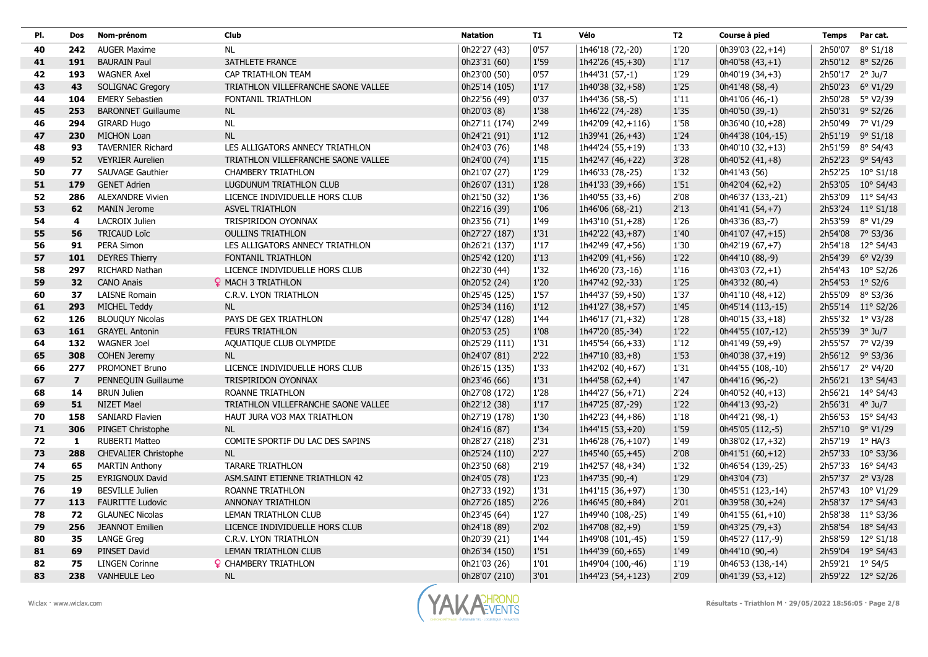| PI. | Dos                     | Nom-prénom                  | Club                                | <b>Natation</b> | T1     | Vélo               | <b>T2</b>     | Course à pied     | <b>Temps</b>    | Par cat.          |
|-----|-------------------------|-----------------------------|-------------------------------------|-----------------|--------|--------------------|---------------|-------------------|-----------------|-------------------|
| 40  | 242                     | <b>AUGER Maxime</b>         | NL.                                 | 0h22'27 (43)    | 0'57   | 1h46'18 (72,-20)   | 1'20          | 0h39'03 (22,+14)  |                 | 2h50'07 8° S1/18  |
| 41  | 191                     | <b>BAURAIN Paul</b>         | <b>3ATHLETE FRANCE</b>              | 0h23'31 (60)    | 1'59   | 1h42'26 (45,+30)   | 1'17          | $0h40'58(43,+1)$  |                 | 2h50'12 8° S2/26  |
| 42  | 193                     | <b>WAGNER Axel</b>          | CAP TRIATHLON TEAM                  | 0h23'00 (50)    | 0'57   | 1h44'31 (57,-1)    | 1'29          | 0h40'19 (34,+3)   | 2h50'17 2° Ju/7 |                   |
| 43  | 43                      | <b>SOLIGNAC Gregory</b>     | TRIATHLON VILLEFRANCHE SAONE VALLEE | 0h25'14 (105)   | $1'17$ | 1h40'38 (32,+58)   | 1'25          | 0h41'48 (58,-4)   |                 | 2h50'23 6° V1/29  |
| 44  | 104                     | <b>EMERY Sebastien</b>      | FONTANIL TRIATHLON                  | 0h22'56 (49)    | 0'37   | 1h44'36 (58,-5)    | $1^\prime 11$ | 0h41'06 (46,-1)   |                 | 2h50'28 5° V2/39  |
| 45  | 253                     | <b>BARONNET Guillaume</b>   | <b>NL</b>                           | 0h20'03 (8)     | 1'38   | 1h46'22 (74,-28)   | 1'35          | 0h40'50 (39,-1)   |                 | 2h50'31 9° S2/26  |
| 46  | 294                     | <b>GIRARD Hugo</b>          | NL.                                 | 0h27'11 (174)   | 2'49   | 1h42'09 (42,+116)  | 1'58          | 0h36'40 (10,+28)  |                 | 2h50'49 7° V1/29  |
| 47  | 230                     | <b>MICHON Loan</b>          | <b>NL</b>                           | 0h24'21 (91)    | 1'12   | 1h39'41 (26,+43)   | 1'24          | 0h44'38 (104,-15) |                 | 2h51'19 9° S1/18  |
| 48  | 93                      | <b>TAVERNIER Richard</b>    | LES ALLIGATORS ANNECY TRIATHLON     | 0h24'03 (76)    | 1'48   | 1h44'24 (55,+19)   | 1'33          | 0h40'10 (32,+13)  |                 | 2h51'59 8° S4/43  |
| 49  | 52                      | <b>VEYRIER Aurelien</b>     | TRIATHLON VILLEFRANCHE SAONE VALLEE | 0h24'00 (74)    | 1'15   | 1h42'47 (46,+22)   | 3'28          | $0h40'52(41,+8)$  |                 | 2h52'23 9° S4/43  |
| 50  | 77                      | SAUVAGE Gauthier            | <b>CHAMBERY TRIATHLON</b>           | 0h21'07 (27)    | 1'29   | 1h46'33 (78,-25)   | 1'32          | 0h41'43 (56)      |                 | 2h52'25 10° S1/18 |
| 51  | 179                     | <b>GENET Adrien</b>         | LUGDUNUM TRIATHLON CLUB             | 0h26'07 (131)   | 1'28   | 1h41'33 (39,+66)   | 1'51          | $0h42'04(62,+2)$  |                 | 2h53'05 10° S4/43 |
| 52  | 286                     | <b>ALEXANDRE Vivien</b>     | LICENCE INDIVIDUELLE HORS CLUB      | 0h21'50 (32)    | 1'36   | 1h40'55 (33,+6)    | 2'08          | 0h46'37 (133,-21) |                 | 2h53'09 11° S4/43 |
| 53  | 62                      | <b>MANIN Jerome</b>         | <b>ASVEL TRIATHLON</b>              | 0h22'16 (39)    | 1'06   | 1h46'06 (68,-21)   | 2'13          | 0h41'41 (54,+7)   |                 | 2h53'24 11° S1/18 |
| 54  | 4                       | <b>LACROIX Julien</b>       | TRISPIRIDON OYONNAX                 | 0h23'56 (71)    | 1'49   | 1h43'10 (51,+28)   | 1'26          | 0h43'36 (83,-7)   |                 | 2h53'59 8° V1/29  |
| 55  | 56                      | <b>TRICAUD Loïc</b>         | <b>OULLINS TRIATHLON</b>            | 0h27'27 (187)   | 1'31   | 1h42'22 (43,+87)   | 1'40          | 0h41'07 (47,+15)  |                 | 2h54'08 7° S3/36  |
| 56  | 91                      | PERA Simon                  | LES ALLIGATORS ANNECY TRIATHLON     | 0h26'21 (137)   | 1'17   | 1h42'49 (47,+56)   | 1'30          | $0h42'19(67,+7)$  |                 | 2h54'18 12° S4/43 |
| 57  | 101                     | <b>DEYRES Thierry</b>       | FONTANIL TRIATHLON                  | 0h25'42 (120)   | 1'13   | 1h42'09 (41,+56)   | 1'22          | 0h44'10 (88,-9)   |                 | 2h54'39 6° V2/39  |
| 58  | 297                     | RICHARD Nathan              | LICENCE INDIVIDUELLE HORS CLUB      | 0h22'30 (44)    | 1'32   | 1h46'20 (73,-16)   | 1'16          | $0h43'03(72,+1)$  |                 | 2h54'43 10° S2/26 |
| 59  | 32                      | <b>CANO Anais</b>           | <b>Q</b> MACH 3 TRIATHLON           | 0h20'52 (24)    | 1'20   | 1h47'42 (92,-33)   | 1'25          | 0h43'32 (80,-4)   | 2h54'53 1° S2/6 |                   |
| 60  | 37                      | <b>LAISNE Romain</b>        | C.R.V. LYON TRIATHLON               | 0h25'45 (125)   | 1'57   | 1h44'37 (59,+50)   | 1'37          | 0h41'10 (48,+12)  |                 | 2h55'09 8° S3/36  |
| 61  | 293                     | MICHEL Teddy                | <b>NL</b>                           | 0h25'34 (116)   | $1'12$ | 1h41'27 (38,+57)   | 1'45          | 0h45'14 (113,-15) |                 | 2h55'14 11° S2/26 |
| 62  | 126                     | <b>BLOUQUY Nicolas</b>      | PAYS DE GEX TRIATHLON               | 0h25'47 (128)   | 1'44   | 1h46'17 (71,+32)   | 1'28          | 0h40'15 (33,+18)  |                 | 2h55'32 1° V3/28  |
| 63  | 161                     | <b>GRAYEL Antonin</b>       | <b>FEURS TRIATHLON</b>              | 0h20'53 (25)    | 1'08   | 1h47'20 (85,-34)   | $1'22$        | 0h44'55 (107,-12) | 2h55'39 3° Ju/7 |                   |
| 64  | 132                     | <b>WAGNER Joel</b>          | AQUATIQUE CLUB OLYMPIDE             | 0h25'29 (111)   | 1'31   | 1h45'54 (66,+33)   | $1'12$        | 0h41'49 (59,+9)   |                 | 2h55'57 7° V2/39  |
| 65  | 308                     | <b>COHEN Jeremy</b>         | <b>NL</b>                           | 0h24'07 (81)    | 2'22   | $1h47'10(83,+8)$   | 1'53          | 0h40'38 (37,+19)  |                 | 2h56'12 9° S3/36  |
| 66  | 277                     | PROMONET Bruno              | LICENCE INDIVIDUELLE HORS CLUB      | 0h26'15 (135)   | 1'33   | 1h42'02 (40,+67)   | $1'31$        | 0h44'55 (108,-10) |                 | 2h56'17 2° V4/20  |
| 67  | $\overline{\mathbf{z}}$ | PENNEQUIN Guillaume         | TRISPIRIDON OYONNAX                 | 0h23'46 (66)    | 1'31   | 1h44'58 $(62, +4)$ | 1'47          | 0h44'16 (96,-2)   |                 | 2h56'21 13° S4/43 |
| 68  | 14                      | <b>BRUN Julien</b>          | ROANNE TRIATHLON                    | 0h27'08 (172)   | 1'28   | 1h44'27 (56,+71)   | 2'24          | $0h40'52(40,+13)$ |                 | 2h56'21 14° S4/43 |
| 69  | 51                      | <b>NIZET Mael</b>           | TRIATHLON VILLEFRANCHE SAONE VALLEE | 0h22'12 (38)    | 1'17   | 1h47'25 (87,-29)   | $1'22$        | 0h44'13 (93,-2)   | 2h56'31 4° Ju/7 |                   |
| 70  | 158                     | <b>SANIARD Flavien</b>      | HAUT JURA VO3 MAX TRIATHLON         | 0h27'19 (178)   | 1'30   | 1h42'23 (44,+86)   | 1'18          | 0h44'21 (98,-1)   |                 | 2h56'53 15° S4/43 |
| 71  | 306                     | PINGET Christophe           | <b>NL</b>                           | 0h24'16 (87)    | 1'34   | 1h44'15 (53,+20)   | 1'59          | 0h45'05 (112,-5)  |                 | 2h57'10 9° V1/29  |
| 72  | $\mathbf{1}$            | <b>RUBERTI Matteo</b>       | COMITE SPORTIF DU LAC DES SAPINS    | 0h28'27 (218)   | 2'31   | 1h46'28 (76,+107)  | 1'49          | 0h38'02 (17,+32)  |                 | 2h57'19 1° HA/3   |
| 73  | 288                     | <b>CHEVALIER Christophe</b> | <b>NL</b>                           | 0h25'24 (110)   | 2'27   | 1h45'40 (65,+45)   | 2'08          | $0h41'51(60,+12)$ |                 | 2h57'33 10° S3/36 |
| 74  | 65                      | <b>MARTIN Anthony</b>       | <b>TARARE TRIATHLON</b>             | 0h23'50 (68)    | 2'19   | 1h42'57 (48,+34)   | 1'32          | 0h46'54 (139,-25) |                 | 2h57'33 16° S4/43 |
| 75  | 25                      | <b>EYRIGNOUX David</b>      | ASM.SAINT ETIENNE TRIATHLON 42      | 0h24'05 (78)    | 1'23   | 1h47'35 (90,-4)    | 1'29          | 0h43'04 (73)      |                 | 2h57'37 2° V3/28  |
| 76  | 19                      | <b>BESVILLE Julien</b>      | ROANNE TRIATHLON                    | 0h27'33 (192)   | 1'31   | 1h41'15 (36,+97)   | 1'30          | 0h45'51 (123,-14) |                 | 2h57'43 10° V1/29 |
| 77  | 113                     | <b>FAURITTE Ludovic</b>     | ANNONAY TRIATHLON                   | 0h27'26 (185)   | 2'26   | 1h46'45 (80,+84)   | 2'01          | 0h39'58 (30,+24)  |                 | 2h58'37 17° S4/43 |
| 78  | 72                      | <b>GLAUNEC Nicolas</b>      | LEMAN TRIATHLON CLUB                | 0h23'45 (64)    | 1'27   | 1h49'40 (108,-25)  | 1'49          | $0h41'55(61,+10)$ |                 | 2h58'38 11° S3/36 |
| 79  | 256                     | <b>JEANNOT Emilien</b>      | LICENCE INDIVIDUELLE HORS CLUB      | 0h24'18 (89)    | 2'02   | 1h47'08 (82,+9)    | 1'59          | 0h43'25 (79,+3)   |                 | 2h58'54 18° S4/43 |
| 80  | 35                      | <b>LANGE Greg</b>           | C.R.V. LYON TRIATHLON               | 0h20'39 (21)    | 1'44   | 1h49'08 (101,-45)  | 1'59          | 0h45'27 (117,-9)  |                 | 2h58'59 12° S1/18 |
| 81  | 69                      | PINSET David                | LEMAN TRIATHLON CLUB                | 0h26'34 (150)   | 1'51   | 1h44'39 (60,+65)   | 1'49          | 0h44'10 (90,-4)   |                 | 2h59'04 19° S4/43 |
| 82  | 75                      | <b>LINGEN Corinne</b>       | <b>Q</b> CHAMBERY TRIATHLON         | 0h21'03 (26)    | 1'01   | 1h49'04 (100,-46)  | 1'19          | 0h46'53 (138,-14) | 2h59'21 1° S4/5 |                   |
| 83  | 238                     | <b>VANHEULE Leo</b>         | <b>NL</b>                           | 0h28'07 (210)   | 3'01   | 1h44'23 (54,+123)  | 2'09          | 0h41'39 (53,+12)  |                 | 2h59'22 12° S2/26 |

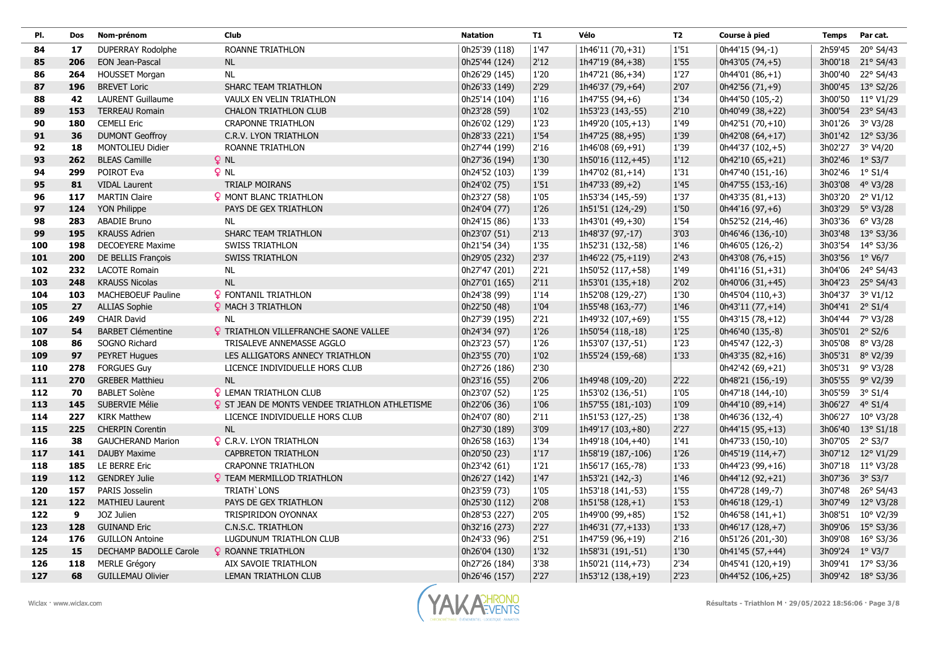| PI. | Dos | Nom-prénom               | Club                                                  | <b>Natation</b> | T1   | Vélo               | T2     | Course à pied     | <b>Temps</b>    | Par cat.          |
|-----|-----|--------------------------|-------------------------------------------------------|-----------------|------|--------------------|--------|-------------------|-----------------|-------------------|
| 84  | 17  | <b>DUPERRAY Rodolphe</b> | ROANNE TRIATHLON                                      | 0h25'39 (118)   | 1'47 | 1h46'11 (70,+31)   | 1'51   | 0h44'15 (94,-1)   |                 | 2h59'45 20° S4/43 |
| 85  | 206 | <b>EON Jean-Pascal</b>   | <b>NL</b>                                             | 0h25'44 (124)   | 2'12 | 1h47'19 (84,+38)   | 1'55   | 0h43'05 (74,+5)   |                 | 3h00'18 21° S4/43 |
| 86  | 264 | <b>HOUSSET Morgan</b>    | NL                                                    | 0h26'29 (145)   | 1'20 | 1h47'21 (86,+34)   | 1'27   | $0h44'01(86,+1)$  |                 | 3h00'40 22° S4/43 |
| 87  | 196 | <b>BREVET Loric</b>      | SHARC TEAM TRIATHLON                                  | 0h26'33 (149)   | 2'29 | 1h46'37 (79,+64)   | 2'07   | 0h42'56 (71,+9)   |                 | 3h00'45 13° S2/26 |
| 88  | 42  | <b>LAURENT Guillaume</b> | VAULX EN VELIN TRIATHLON                              | 0h25'14 (104)   | 1'16 | $1h47'55(94,+6)$   | 1'34   | 0h44'50 (105,-2)  |                 | 3h00'50 11° V1/29 |
| 89  | 153 | <b>TERREAU Romain</b>    | <b>CHALON TRIATHLON CLUB</b>                          | 0h23'28 (59)    | 1'02 | 1h53'23 (143,-55)  | 2'10   | 0h40'49 (38,+22)  |                 | 3h00'54 23° S4/43 |
| 90  | 180 | <b>CEMELI Eric</b>       | <b>CRAPONNE TRIATHLON</b>                             | 0h26'02 (129)   | 1'23 | 1h49'20 (105,+13)  | 1'49   | 0h42'51 (70,+10)  |                 | 3h01'26 3° V3/28  |
| 91  | 36  | <b>DUMONT Geoffroy</b>   | C.R.V. LYON TRIATHLON                                 | 0h28'33 (221)   | 1'54 | 1h47'25 (88,+95)   | 1'39   | $0h42'08(64,+17)$ |                 | 3h01'42 12° S3/36 |
| 92  | 18  | <b>MONTOLIEU Didier</b>  | ROANNE TRIATHLON                                      | 0h27'44 (199)   | 2'16 | 1h46'08 (69,+91)   | 1'39   | 0h44'37 (102,+5)  |                 | 3h02'27 3° V4/20  |
| 93  | 262 | <b>BLEAS Camille</b>     | $Q$ NL                                                | 0h27'36 (194)   | 1'30 | 1h50'16 (112, +45) | $1'12$ | 0h42'10 (65,+21)  | 3h02'46 1° S3/7 |                   |
| 94  | 299 | POIROT Eva               | $Q$ NL                                                | 0h24'52 (103)   | 1'39 | 1h47'02 (81,+14)   | 1'31   | 0h47'40 (151,-16) | 3h02'46 1° S1/4 |                   |
| 95  | 81  | <b>VIDAL Laurent</b>     | <b>TRIALP MOIRANS</b>                                 | 0h24'02 (75)    | 1'51 | $1h47'33(89,+2)$   | 1'45   | 0h47'55 (153,-16) |                 | 3h03'08 4° V3/28  |
| 96  | 117 | <b>MARTIN Claire</b>     | <b>Q</b> MONT BLANC TRIATHLON                         | 0h23'27 (58)    | 1'05 | 1h53'34 (145,-59)  | 1'37   | $0h43'35(81,+13)$ |                 | 3h03'20 2° V1/12  |
| 97  | 124 | YON Philippe             | PAYS DE GEX TRIATHLON                                 | 0h24'04 (77)    | 1'26 | 1h51'51 (124,-29)  | 1'50   | 0h44'16 (97,+6)   |                 | 3h03'29 5° V3/28  |
| 98  | 283 | ABADIE Bruno             | <b>NL</b>                                             | 0h24'15 (86)    | 1'33 | 1h43'01 (49,+30)   | 1'54   | 0h52'52 (214,-46) |                 | 3h03'36 6° V3/28  |
| 99  | 195 | <b>KRAUSS Adrien</b>     | SHARC TEAM TRIATHLON                                  | 0h23'07 (51)    | 2'13 | 1h48'37 (97,-17)   | 3'03   | 0h46'46 (136,-10) |                 | 3h03'48 13° S3/36 |
| 100 | 198 | <b>DECOEYERE Maxime</b>  | <b>SWISS TRIATHLON</b>                                | 0h21'54 (34)    | 1'35 | 1h52'31 (132,-58)  | 1'46   | 0h46'05 (126,-2)  |                 | 3h03'54 14° S3/36 |
| 101 | 200 | DE BELLIS François       | <b>SWISS TRIATHLON</b>                                | 0h29'05 (232)   | 2'37 | 1h46'22 (75,+119)  | 2'43   | 0h43'08 (76,+15)  |                 | 3h03'56 1° V6/7   |
| 102 | 232 | <b>LACOTE Romain</b>     | NL.                                                   | 0h27'47 (201)   | 2'21 | 1h50'52 (117,+58)  | 1'49   | 0h41'16 (51,+31)  |                 | 3h04'06 24° S4/43 |
| 103 | 248 | <b>KRAUSS Nicolas</b>    | NL                                                    | 0h27'01 (165)   | 2'11 | 1h53'01 (135,+18)  | 2'02   | 0h40'06 (31,+45)  |                 | 3h04'23 25° S4/43 |
| 104 | 103 | MACHEBOEUF Pauline       | <b>Q</b> FONTANIL TRIATHLON                           | 0h24'38 (99)    | 1'14 | 1h52'08 (129,-27)  | 1'30   | 0h45'04 (110,+3)  |                 | 3h04'37 3° V1/12  |
| 105 | 27  | <b>ALLIAS Sophie</b>     | <b>Q</b> MACH 3 TRIATHLON                             | 0h22'50 (48)    | 1'04 | 1h55'48 (163,-77)  | 1'46   | 0h43'11 (77,+14)  | 3h04'41 2° S1/4 |                   |
| 106 | 249 | <b>CHAIR David</b>       | <b>NL</b>                                             | 0h27'39 (195)   | 2'21 | 1h49'32 (107,+69)  | 1'55   | 0h43'15 (78,+12)  |                 | 3h04'44 7° V3/28  |
| 107 | 54  | <b>BARBET Clémentine</b> | <b>Q</b> TRIATHLON VILLEFRANCHE SAONE VALLEE          | 0h24'34 (97)    | 1'26 | 1h50'54 (118,-18)  | 1'25   | 0h46'40 (135,-8)  | 3h05'01 2° S2/6 |                   |
| 108 | 86  | SOGNO Richard            | TRISALEVE ANNEMASSE AGGLO                             | 0h23'23 (57)    | 1'26 | 1h53'07 (137,-51)  | 1'23   | 0h45'47 (122,-3)  |                 | 3h05'08 8° V3/28  |
| 109 | 97  | <b>PEYRET Hugues</b>     | LES ALLIGATORS ANNECY TRIATHLON                       | 0h23'55 (70)    | 1'02 | 1h55'24 (159,-68)  | 1'33   | 0h43'35 (82,+16)  |                 | 3h05'31 8° V2/39  |
| 110 | 278 | <b>FORGUES Guy</b>       | LICENCE INDIVIDUELLE HORS CLUB                        | 0h27'26 (186)   | 2'30 |                    |        | 0h42'42 (69,+21)  |                 | 3h05'31 9° V3/28  |
| 111 | 270 | <b>GREBER Matthieu</b>   | $\sf NL$                                              | 0h23'16 (55)    | 2'06 | 1h49'48 (109,-20)  | 2'22   | 0h48'21 (156,-19) |                 | 3h05'55 9° V2/39  |
| 112 | 70  | <b>BABLET Solène</b>     | <b>Q</b> LEMAN TRIATHLON CLUB                         | 0h23'07 (52)    | 1'25 | 1h53'02 (136,-51)  | 1'05   | 0h47'18 (144,-10) | 3h05'59 3° S1/4 |                   |
| 113 | 145 | SUBERVIE Mélie           | <b>Q</b> ST JEAN DE MONTS VENDEE TRIATHLON ATHLETISME | 0h22'06 (36)    | 1'06 | 1h57'55 (181,-103) | 1'09   | 0h44'10 (89,+14)  | 3h06'27 4° S1/4 |                   |
| 114 | 227 | <b>KIRK Matthew</b>      | LICENCE INDIVIDUELLE HORS CLUB                        | 0h24'07 (80)    | 2'11 | 1h51'53 (127,-25)  | 1'38   | 0h46'36 (132,-4)  |                 | 3h06'27 10° V3/28 |
| 115 | 225 | <b>CHERPIN Corentin</b>  | <b>NL</b>                                             | 0h27'30 (189)   | 3'09 | 1h49'17 (103,+80)  | $2'27$ | 0h44'15 (95,+13)  |                 | 3h06'40 13° S1/18 |
| 116 | 38  | <b>GAUCHERAND Marion</b> | <b>Q</b> C.R.V. LYON TRIATHLON                        | 0h26'58 (163)   | 1'34 | 1h49'18 (104,+40)  | 1'41   | 0h47'33 (150,-10) | 3h07'05 2° S3/7 |                   |
| 117 | 141 | <b>DAUBY Maxime</b>      | <b>CAPBRETON TRIATHLON</b>                            | 0h20'50 (23)    | 1'17 | 1h58'19 (187,-106) | 1'26   | 0h45'19 (114,+7)  |                 | 3h07'12 12° V1/29 |
| 118 | 185 | LE BERRE Eric            | <b>CRAPONNE TRIATHLON</b>                             | 0h23'42 (61)    | 1'21 | 1h56'17 (165,-78)  | 1'33   | 0h44'23 (99,+16)  |                 | 3h07'18 11° V3/28 |
| 119 | 112 | <b>GENDREY Julie</b>     | <b>Q</b> TEAM MERMILLOD TRIATHLON                     | 0h26'27 (142)   | 1'47 | 1h53'21 (142,-3)   | 1'46   | 0h44'12 (92,+21)  | 3h07'36 3° S3/7 |                   |
| 120 | 157 | PARIS Josselin           | TRIATH' LONS                                          | 0h23'59 (73)    | 1'05 | 1h53'18 (141,-53)  | 1'55   | 0h47'28 (149,-7)  | 3h07'48         | 26° S4/43         |
| 121 | 122 | <b>MATHIEU Laurent</b>   | PAYS DE GEX TRIATHLON                                 | 0h25'30 (112)   | 2'08 | $1h51'58(128,+1)$  | 1'53   | 0h46'18 (129,-1)  |                 | 3h07'49 12° V3/28 |
| 122 | 9   | JOZ Julien               | TRISPIRIDON OYONNAX                                   | 0h28'53 (227)   | 2'05 | 1h49'00 (99,+85)   | 1'52   | $0h46'58(141,+1)$ |                 | 3h08'51 10° V2/39 |
| 123 | 128 | <b>GUINAND Eric</b>      | C.N.S.C. TRIATHLON                                    | 0h32'16 (273)   | 2'27 | 1h46'31 (77,+133)  | 1'33   | 0h46'17 (128,+7)  |                 | 3h09'06 15° S3/36 |
| 124 | 176 | <b>GUILLON Antoine</b>   | LUGDUNUM TRIATHLON CLUB                               | 0h24'33 (96)    | 2'51 | 1h47'59 (96,+19)   | 2'16   | 0h51'26 (201,-30) |                 | 3h09'08 16° S3/36 |
| 125 | 15  | DECHAMP BADOLLE Carole   | <b>Q</b> ROANNE TRIATHLON                             | 0h26'04 (130)   | 1'32 | 1h58'31 (191,-51)  | 1'30   | 0h41'45 (57,+44)  |                 | 3h09'24 1° V3/7   |
| 126 | 118 | <b>MERLE Grégory</b>     | AIX SAVOIE TRIATHLON                                  | 0h27'26 (184)   | 3'38 | 1h50'21 (114,+73)  | 2'34   | 0h45'41 (120,+19) |                 | 3h09'41 17° S3/36 |
| 127 | 68  | <b>GUILLEMAU Olivier</b> | LEMAN TRIATHLON CLUB                                  | 0h26'46 (157)   | 2'27 | 1h53'12 (138,+19)  | 2'23   | 0h44'52 (106,+25) |                 | 3h09'42 18° S3/36 |

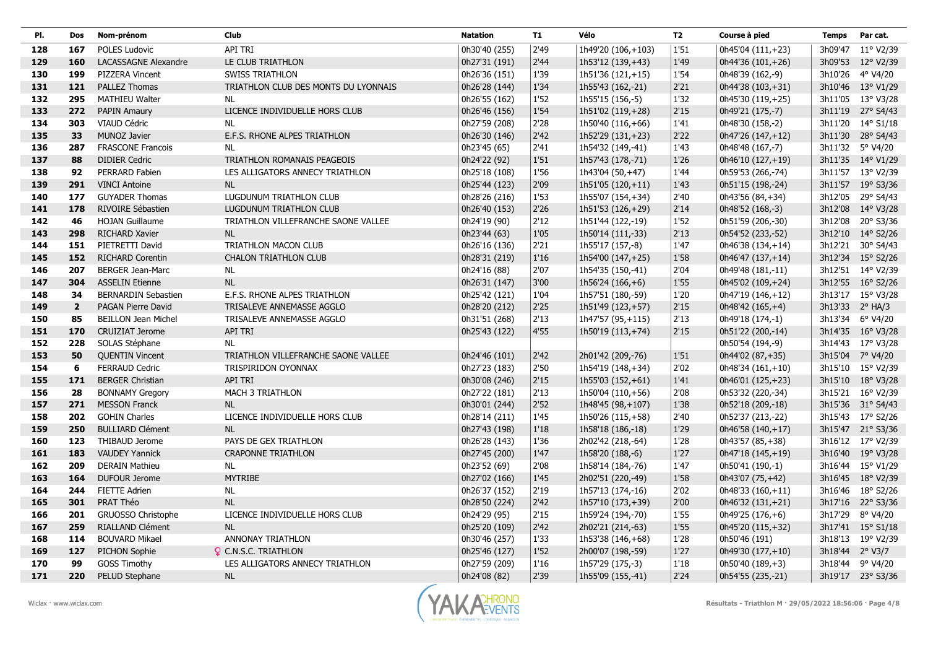| PI. | Dos            | Nom-prénom                 | Club                                 | <b>Natation</b> | <b>T1</b> | Vélo               | <b>T2</b> | Course à pied      | Temps           | Par cat.          |
|-----|----------------|----------------------------|--------------------------------------|-----------------|-----------|--------------------|-----------|--------------------|-----------------|-------------------|
| 128 | 167            | POLES Ludovic              | API TRI                              | 0h30'40 (255)   | 2'49      | 1h49'20 (106,+103) | 1'51      | 0h45'04 (111,+23)  |                 | 3h09'47 11° V2/39 |
| 129 | 160            | LACASSAGNE Alexandre       | LE CLUB TRIATHLON                    | 0h27'31 (191)   | 2'44      | 1h53'12 (139, +43) | 1'49      | 0h44'36 (101,+26)  |                 | 3h09'53 12° V2/39 |
| 130 | 199            | PIZZERA Vincent            | <b>SWISS TRIATHLON</b>               | 0h26'36 (151)   | 1'39      | 1h51'36 (121,+15)  | 1'54      | 0h48'39 (162,-9)   |                 | 3h10'26 4° V4/20  |
| 131 | 121            | PALLEZ Thomas              | TRIATHLON CLUB DES MONTS DU LYONNAIS | 0h26'28 (144)   | 1'34      | 1h55'43 (162,-21)  | 2'21      | 0h44'38 (103,+31)  |                 | 3h10'46 13° V1/29 |
| 132 | 295            | <b>MATHIEU Walter</b>      | NL                                   | 0h26'55 (162)   | 1'52      | 1h55'15 (156,-5)   | 1'32      | 0h45'30 (119,+25)  |                 | 3h11'05 13° V3/28 |
| 133 | 272            | <b>PAPIN Amaury</b>        | LICENCE INDIVIDUELLE HORS CLUB       | 0h26'46 (156)   | 1'54      | 1h51'02 (119,+28)  | 2'15      | 0h49'21 (175,-7)   |                 | 3h11'19 27° S4/43 |
| 134 | 303            | VIAUD Cédric               | <b>NL</b>                            | 0h27'59 (208)   | 2'28      | 1h50'40 (116,+66)  | 1'41      | 0h48'30 (158,-2)   |                 | 3h11'20 14° S1/18 |
| 135 | 33             | MUNOZ Javier               | E.F.S. RHONE ALPES TRIATHLON         | 0h26'30 (146)   | 2'42      | 1h52'29 (131,+23)  | 2'22      | 0h47'26 (147,+12)  |                 | 3h11'30 28° S4/43 |
| 136 | 287            | <b>FRASCONE Francois</b>   | <b>NL</b>                            | 0h23'45 (65)    | 2'41      | 1h54'32 (149,-41)  | 1'43      | 0h48'48 (167,-7)   |                 | 3h11'32 5° V4/20  |
| 137 | 88             | <b>DIDIER Cedric</b>       | TRIATHLON ROMANAIS PEAGEOIS          | 0h24'22 (92)    | 1'51      | 1h57'43 (178,-71)  | 1'26      | 0h46'10 (127,+19)  |                 | 3h11'35 14° V1/29 |
| 138 | 92             | PERRARD Fabien             | LES ALLIGATORS ANNECY TRIATHLON      | 0h25'18 (108)   | 1'56      | 1h43'04 (50,+47)   | 1'44      | 0h59'53 (266,-74)  |                 | 3h11'57 13° V2/39 |
| 139 | 291            | <b>VINCI Antoine</b>       | <b>NL</b>                            | 0h25'44 (123)   | 2'09      | 1h51'05 (120,+11)  | 1'43      | 0h51'15 (198,-24)  |                 | 3h11'57 19° S3/36 |
| 140 | 177            | <b>GUYADER Thomas</b>      | LUGDUNUM TRIATHLON CLUB              | 0h28'26 (216)   | 1'53      | 1h55'07 (154,+34)  | 2'40      | 0h43'56 (84,+34)   |                 | 3h12'05 29° S4/43 |
| 141 | 178            | RIVOIRE Sébastien          | LUGDUNUM TRIATHLON CLUB              | 0h26'40 (153)   | 2'26      | 1h51'53 (126,+29)  | 2'14      | 0h48'52 (168,-3)   |                 | 3h12'08 14° V3/28 |
| 142 | 46             | <b>HOJAN Guillaume</b>     | TRIATHLON VILLEFRANCHE SAONE VALLEE  | 0h24'19 (90)    | 2'12      | 1h51'44 (122,-19)  | 1'52      | 0h51'59 (206,-30)  |                 | 3h12'08 20° S3/36 |
| 143 | 298            | RICHARD Xavier             | <b>NL</b>                            | 0h23'44 (63)    | 1'05      | 1h50'14 (111,-33)  | 2'13      | 0h54'52 (233,-52)  |                 | 3h12'10 14° S2/26 |
| 144 | 151            | PIETRETTI David            | TRIATHLON MACON CLUB                 | 0h26'16 (136)   | 2'21      | 1h55'17 (157,-8)   | 1'47      | 0h46'38 (134,+14)  |                 | 3h12'21 30° S4/43 |
| 145 | 152            | <b>RICHARD Corentin</b>    | <b>CHALON TRIATHLON CLUB</b>         | 0h28'31 (219)   | 1'16      | 1h54'00 (147,+25)  | 1'58      | 0h46'47 (137, +14) |                 | 3h12'34 15° S2/26 |
| 146 | 207            | <b>BERGER Jean-Marc</b>    | <b>NL</b>                            | 0h24'16 (88)    | 2'07      | 1h54'35 (150,-41)  | 2'04      | 0h49'48 (181,-11)  |                 | 3h12'51 14° V2/39 |
| 147 | 304            | <b>ASSELIN Etienne</b>     | <b>NL</b>                            | 0h26'31 (147)   | 3'00      | $1h56'24(166,+6)$  | 1'55      | 0h45'02 (109,+24)  |                 | 3h12'55 16° S2/26 |
| 148 | 34             | <b>BERNARDIN Sebastien</b> | E.F.S. RHONE ALPES TRIATHLON         | 0h25'42 (121)   | 1'04      | 1h57'51 (180,-59)  | 1'20      | 0h47'19 (146,+12)  |                 | 3h13'17 15° V3/28 |
| 149 | $\overline{2}$ | PAGAN Pierre David         | TRISALEVE ANNEMASSE AGGLO            | 0h28'20 (212)   | 2'25      | 1h51'49 (123,+57)  | 2'15      | $0h48'42(165,+4)$  |                 | 3h13'33 2° HA/3   |
| 150 | 85             | <b>BEILLON Jean Michel</b> | TRISALEVE ANNEMASSE AGGLO            | 0h31'51 (268)   | 2'13      | 1h47'57 (95,+115)  | 2'13      | 0h49'18 (174,-1)   |                 | 3h13'34 6° V4/20  |
| 151 | 170            | <b>CRUIZIAT Jerome</b>     | API TRI                              | 0h25'43 (122)   | 4'55      | 1h50'19 (113,+74)  | 2'15      | 0h51'22 (200,-14)  |                 | 3h14'35 16° V3/28 |
| 152 | 228            | SOLAS Stéphane             | <b>NL</b>                            |                 |           |                    |           | 0h50'54 (194,-9)   |                 | 3h14'43 17° V3/28 |
| 153 | 50             | <b>QUENTIN Vincent</b>     | TRIATHLON VILLEFRANCHE SAONE VALLEE  | 0h24'46 (101)   | 2'42      | 2h01'42 (209,-76)  | 1'51      | 0h44'02 (87,+35)   |                 | 3h15'04 7° V4/20  |
| 154 | 6              | <b>FERRAUD Cedric</b>      | TRISPIRIDON OYONNAX                  | 0h27'23 (183)   | 2'50      | 1h54'19 (148,+34)  | 2'02      | 0h48'34 (161,+10)  |                 | 3h15'10 15° V2/39 |
| 155 | 171            | <b>BERGER Christian</b>    | API TRI                              | 0h30'08 (246)   | 2'15      | 1h55'03 (152,+61)  | 1'41      | 0h46'01 (125, +23) |                 | 3h15'10 18° V3/28 |
| 156 | 28             | <b>BONNAMY Gregory</b>     | MACH 3 TRIATHLON                     | 0h27'22 (181)   | 2'13      | 1h50'04 (110,+56)  | 2'08      | 0h53'32 (220,-34)  |                 | 3h15'21 16° V2/39 |
| 157 | 271            | <b>MESSON Franck</b>       | <b>NL</b>                            | 0h30'01 (244)   | 2'52      | 1h48'45 (98,+107)  | 1'38      | 0h52'18 (209,-18)  |                 | 3h15'36 31° S4/43 |
| 158 | 202            | <b>GOHIN Charles</b>       | LICENCE INDIVIDUELLE HORS CLUB       | 0h28'14 (211)   | 1'45      | 1h50'26 (115,+58)  | 2'40      | 0h52'37 (213,-22)  |                 | 3h15'43 17° S2/26 |
| 159 | 250            | <b>BULLIARD Clément</b>    | <b>NL</b>                            | 0h27'43 (198)   | 1'18      | 1h58'18 (186,-18)  | 1'29      | 0h46'58 (140,+17)  |                 | 3h15'47 21° S3/36 |
| 160 | 123            | THIBAUD Jerome             | PAYS DE GEX TRIATHLON                | 0h26'28 (143)   | 1'36      | 2h02'42 (218,-64)  | 1'28      | 0h43'57 (85,+38)   |                 | 3h16'12 17° V2/39 |
| 161 | 183            | <b>VAUDEY Yannick</b>      | <b>CRAPONNE TRIATHLON</b>            | 0h27'45 (200)   | 1'47      | 1h58'20 (188,-6)   | 1'27      | 0h47'18 (145,+19)  |                 | 3h16'40 19° V3/28 |
| 162 | 209            | <b>DERAIN Mathieu</b>      | <b>NL</b>                            | 0h23'52 (69)    | 2'08      | 1h58'14 (184,-76)  | 1'47      | 0h50'41 (190,-1)   |                 | 3h16'44 15° V1/29 |
| 163 | 164            | <b>DUFOUR Jerome</b>       | <b>MYTRIBE</b>                       | 0h27'02 (166)   | 1'45      | 2h02'51 (220,-49)  | 1'58      | 0h43'07 (75,+42)   |                 | 3h16'45 18° V2/39 |
| 164 | 244            | <b>FIETTE Adrien</b>       | <b>NL</b>                            | 0h26'37 (152)   | 2'19      | 1h57'13 (174,-16)  | 2'02      | $0h48'33(160,+11)$ |                 | 3h16'46 18° S2/26 |
| 165 | 301            | PRAT Théo                  | <b>NL</b>                            | 0h28'50 (224)   | 2'42      | 1h57'10 (173,+39)  | 2'00      | 0h46'32 (131,+21)  |                 | 3h17'16 22° S3/36 |
| 166 | 201            | GRUOSSO Christophe         | LICENCE INDIVIDUELLE HORS CLUB       | 0h24'29 (95)    | 2'15      | 1h59'24 (194,-70)  | 1'55      | $0h49'25(176,+6)$  |                 | 3h17'29 8° V4/20  |
| 167 | 259            | RIALLAND Clément           | <b>NL</b>                            | 0h25'20 (109)   | 2'42      | 2h02'21 (214,-63)  | 1'55      | 0h45'20 (115,+32)  |                 | 3h17'41 15° S1/18 |
| 168 | 114            | <b>BOUVARD Mikael</b>      | ANNONAY TRIATHLON                    | 0h30'46 (257)   | 1'33      | 1h53'38 (146,+68)  | 1'28      | 0h50'46 (191)      |                 | 3h18'13 19° V2/39 |
| 169 | 127            | PICHON Sophie              | <b>Q</b> C.N.S.C. TRIATHLON          | 0h25'46 (127)   | 1'52      | 2h00'07 (198,-59)  | 1'27      | 0h49'30 (177,+10)  | 3h18'44 2° V3/7 |                   |
| 170 | 99             | <b>GOSS Timothy</b>        | LES ALLIGATORS ANNECY TRIATHLON      | 0h27'59 (209)   | 1'16      | 1h57'29 (175,-3)   | 1'18      | $0h50'40(189,+3)$  |                 | 3h18'44 9° V4/20  |
| 171 | 220            | PELUD Stephane             | <b>NL</b>                            | 0h24'08 (82)    | 2'39      | 1h55'09 (155,-41)  | 2'24      | 0h54'55 (235,-21)  |                 | 3h19'17 23° S3/36 |

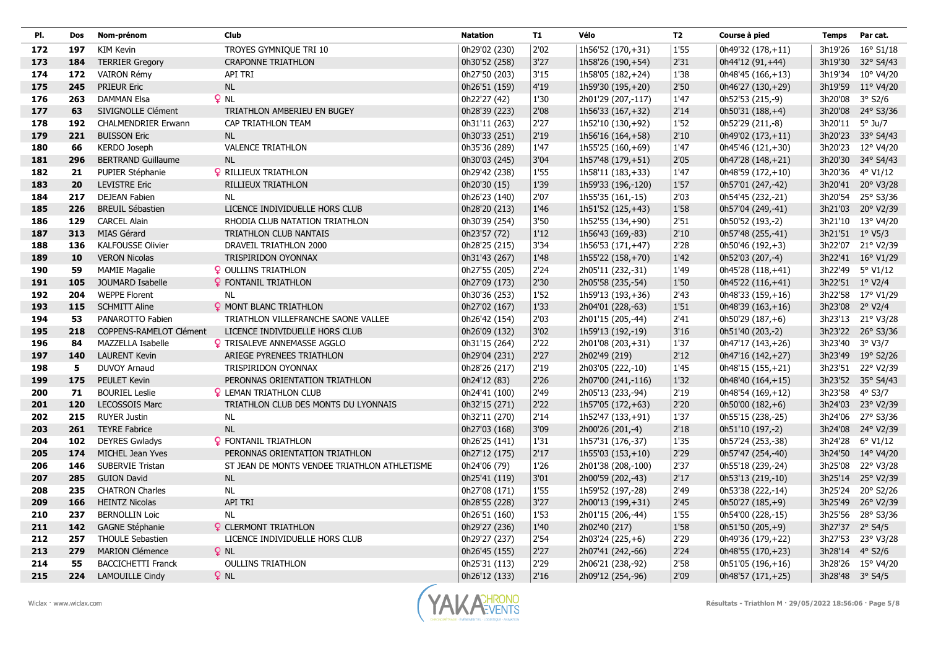| PI. | Dos | Nom-prénom                 | <b>Club</b>                                  | <b>Natation</b> | <b>T1</b> | Vélo                | <b>T2</b> | Course à pied      | <b>Temps</b>    | Par cat.          |
|-----|-----|----------------------------|----------------------------------------------|-----------------|-----------|---------------------|-----------|--------------------|-----------------|-------------------|
| 172 | 197 | <b>KIM Kevin</b>           | TROYES GYMNIQUE TRI 10                       | 0h29'02 (230)   | 2'02      | 1h56'52 (170,+31)   | 1'55      | 0h49'32 (178,+11)  |                 | 3h19'26 16° S1/18 |
| 173 | 184 | <b>TERRIER Gregory</b>     | <b>CRAPONNE TRIATHLON</b>                    | 0h30'52 (258)   | 3'27      | 1h58'26 (190,+54)   | 2'31      | 0h44'12 (91,+44)   |                 | 3h19'30 32° S4/43 |
| 174 | 172 | VAIRON Rémy                | API TRI                                      | 0h27'50 (203)   | 3'15      | 1h58'05 (182,+24)   | 1'38      | 0h48'45 (166,+13)  |                 | 3h19'34 10° V4/20 |
| 175 | 245 | <b>PRIEUR Eric</b>         | $\sf NL$                                     | 0h26'51 (159)   | 4'19      | 1h59'30 (195,+20)   | 2'50      | 0h46'27 (130,+29)  |                 | 3h19'59 11° V4/20 |
| 176 | 263 | <b>DAMMAN Elsa</b>         | $Q$ NL                                       | 0h22'27 (42)    | 1'30      | 2h01'29 (207,-117)  | 1'47      | 0h52'53 (215,-9)   | 3h20'08         | 3° S2/6           |
| 177 | 63  | SIVIGNOLLE Clément         | TRIATHLON AMBERIEU EN BUGEY                  | 0h28'39 (223)   | 2'08      | 1h56'33 (167,+32)   | 2'14      | 0h50'31 (188,+4)   |                 | 3h20'08 24° S3/36 |
| 178 | 192 | <b>CHALMENDRIER Erwann</b> | CAP TRIATHLON TEAM                           | 0h31'11 (263)   | 2'27      | 1h52'10 (130,+92)   | 1'52      | 0h52'29 (211,-8)   | 3h20'11 5° Ju/7 |                   |
| 179 | 221 | <b>BUISSON Eric</b>        | <b>NL</b>                                    | 0h30'33 (251)   | 2'19      | 1h56'16 (164,+58)   | 2'10      | 0h49'02 (173,+11)  |                 | 3h20'23 33° S4/43 |
| 180 | 66  | KERDO Joseph               | <b>VALENCE TRIATHLON</b>                     | 0h35'36 (289)   | 1'47      | 1h55'25 (160,+69)   | 1'47      | 0h45'46 (121,+30)  |                 | 3h20'23 12° V4/20 |
| 181 | 296 | <b>BERTRAND Guillaume</b>  | NL                                           | 0h30'03 (245)   | 3'04      | 1h57'48 (179,+51)   | 2'05      | 0h47'28 (148, +21) |                 | 3h20'30 34° S4/43 |
| 182 | 21  | PUPIER Stéphanie           | <b>Q</b> RILLIEUX TRIATHLON                  | 0h29'42 (238)   | 1'55      | 1h58'11 (183, + 33) | 1'47      | 0h48'59 (172,+10)  |                 | 3h20'36 4° V1/12  |
| 183 | 20  | <b>LEVISTRE Eric</b>       | RILLIEUX TRIATHLON                           | 0h20'30 (15)    | 1'39      | 1h59'33 (196,-120)  | 1'57      | 0h57'01 (247,-42)  |                 | 3h20'41 20° V3/28 |
| 184 | 217 | <b>DEJEAN Fabien</b>       | <b>NL</b>                                    | 0h26'23 (140)   | 2'07      | 1h55'35 (161,-15)   | 2'03      | 0h54'45 (232,-21)  |                 | 3h20'54 25° S3/36 |
| 185 | 226 | <b>BREUIL Sébastien</b>    | LICENCE INDIVIDUELLE HORS CLUB               | 0h28'20 (213)   | 1'46      | 1h51'52 (125,+43)   | 1'58      | 0h57'04 (249,-41)  |                 | 3h21'03 20° V2/39 |
| 186 | 129 | <b>CARCEL Alain</b>        | RHODIA CLUB NATATION TRIATHLON               | 0h30'39 (254)   | 3'50      | 1h52'55 (134,+90)   | 2'51      | 0h50'52 (193,-2)   |                 | 3h21'10 13° V4/20 |
| 187 | 313 | MIAS Gérard                | TRIATHLON CLUB NANTAIS                       | 0h23'57 (72)    | 1'12      | 1h56'43 (169,-83)   | 2'10      | 0h57'48 (255,-41)  | 3h21'51 1° V5/3 |                   |
| 188 | 136 | <b>KALFOUSSE Olivier</b>   | DRAVEIL TRIATHLON 2000                       | 0h28'25 (215)   | 3'34      | 1h56'53 (171,+47)   | 2'28      | 0h50'46 (192,+3)   |                 | 3h22'07 21° V2/39 |
| 189 | 10  | <b>VERON Nicolas</b>       | TRISPIRIDON OYONNAX                          | 0h31'43 (267)   | 1'48      | 1h55'22 (158,+70)   | 1'42      | 0h52'03 (207,-4)   |                 | 3h22'41 16° V1/29 |
| 190 | 59  | <b>MAMIE Magalie</b>       | <b>Q</b> OULLINS TRIATHLON                   | 0h27'55 (205)   | 2'24      | 2h05'11 (232,-31)   | 1'49      | 0h45'28 (118,+41)  |                 | 3h22'49 5° V1/12  |
| 191 | 105 | JOUMARD Isabelle           | <b>Q</b> FONTANIL TRIATHLON                  | 0h27'09 (173)   | 2'30      | 2h05'58 (235,-54)   | 1'50      | 0h45'22 (116,+41)  | 3h22'51 1° V2/4 |                   |
| 192 | 204 | <b>WEPPE Florent</b>       | <b>NL</b>                                    | 0h30'36 (253)   | 1'52      | 1h59'13 (193,+36)   | 2'43      | 0h48'33 (159,+16)  |                 | 3h22'58 17° V1/29 |
| 193 | 115 | <b>SCHMITT Aline</b>       | <b>9 MONT BLANC TRIATHLON</b>                | 0h27'02 (167)   | 1'33      | 2h04'01 (228,-63)   | 1'51      | 0h48'39 (163,+16)  | 3h23'08 2° V2/4 |                   |
| 194 | 53  | PANAROTTO Fabien           | TRIATHLON VILLEFRANCHE SAONE VALLEE          | 0h26'42 (154)   | 2'03      | 2h01'15 (205,-44)   | 2'41      | $0h50'29(187,+6)$  |                 | 3h23'13 21° V3/28 |
| 195 | 218 | COPPENS-RAMELOT Clément    | LICENCE INDIVIDUELLE HORS CLUB               | 0h26'09 (132)   | 3'02      | 1h59'13 (192,-19)   | 3'16      | 0h51'40 (203,-2)   |                 | 3h23'22 26° S3/36 |
| 196 | 84  | MAZZELLA Isabelle          | <b>Q</b> TRISALEVE ANNEMASSE AGGLO           | 0h31'15 (264)   | 2'22      | 2h01'08 (203,+31)   | 1'37      | 0h47'17 (143,+26)  |                 | 3h23'40 3° V3/7   |
| 197 | 140 | <b>LAURENT Kevin</b>       | ARIEGE PYRENEES TRIATHLON                    | 0h29'04 (231)   | 2'27      | 2h02'49 (219)       | 2'12      | 0h47'16 (142,+27)  |                 | 3h23'49 19° S2/26 |
| 198 | 5   | <b>DUVOY Arnaud</b>        | TRISPIRIDON OYONNAX                          | 0h28'26 (217)   | 2'19      | 2h03'05 (222,-10)   | 1'45      | 0h48'15 (155, +21) |                 | 3h23'51 22° V2/39 |
| 199 | 175 | PEULET Kevin               | PERONNAS ORIENTATION TRIATHLON               | 0h24'12 (83)    | 2'26      | 2h07'00 (241,-116)  | 1'32      | 0h48'40 (164,+15)  |                 | 3h23'52 35° S4/43 |
| 200 | 71  | <b>BOURIEL Leslie</b>      | <b>Q</b> LEMAN TRIATHLON CLUB                | 0h24'41 (100)   | 2'49      | 2h05'13 (233,-94)   | 2'19      | 0h48'54 (169, +12) | 3h23'58 4° S3/7 |                   |
| 201 | 120 | <b>LECOSSOIS Marc</b>      | TRIATHLON CLUB DES MONTS DU LYONNAIS         | 0h32'15 (271)   | 2'22      | 1h57'05 (172,+63)   | 2'20      | 0h50'00 (182,+6)   |                 | 3h24'03 23° V2/39 |
| 202 | 215 | <b>RUYER Justin</b>        | NL                                           | 0h32'11 (270)   | 2'14      | 1h52'47 (133,+91)   | 1'37      | 0h55'15 (238,-25)  |                 | 3h24'06 27° S3/36 |
| 203 | 261 | <b>TEYRE Fabrice</b>       | NL                                           | 0h27'03 (168)   | 3'09      | 2h00'26 (201,-4)    | 2'18      | 0h51'10 (197,-2)   |                 | 3h24'08 24° V2/39 |
| 204 | 102 | <b>DEYRES Gwladys</b>      | <b>Q</b> FONTANIL TRIATHLON                  | 0h26'25 (141)   | 1'31      | 1h57'31 (176,-37)   | 1'35      | 0h57'24 (253,-38)  |                 | 3h24'28 6° V1/12  |
| 205 | 174 | MICHEL Jean Yves           | PERONNAS ORIENTATION TRIATHLON               | 0h27'12 (175)   | 2'17      | 1h55'03 (153,+10)   | 2'29      | 0h57'47 (254,-40)  |                 | 3h24'50 14° V4/20 |
| 206 | 146 | <b>SUBERVIE Tristan</b>    | ST JEAN DE MONTS VENDEE TRIATHLON ATHLETISME | 0h24'06 (79)    | 1'26      | 2h01'38 (208,-100)  | 2'37      | 0h55'18 (239,-24)  |                 | 3h25'08 22° V3/28 |
| 207 | 285 | <b>GUION David</b>         | <b>NL</b>                                    | 0h25'41 (119)   | 3'01      | 2h00'59 (202,-43)   | 2'17      | 0h53'13 (219,-10)  |                 | 3h25'14 25° V2/39 |
| 208 | 235 | <b>CHATRON Charles</b>     | <b>NL</b>                                    | 0h27'08 (171)   | 1'55      | 1h59'52 (197,-28)   | 2'49      | 0h53'38 (222,-14)  | 3h25'24         | 20° S2/26         |
| 209 | 166 | <b>HEINTZ Nicolas</b>      | <b>API TRI</b>                               | 0h28'55 (228)   | 3'27      | 2h00'13 (199,+31)   | 2'45      | 0h50'27 (185,+9)   |                 | 3h25'49 26° V2/39 |
| 210 | 237 | <b>BERNOLLIN Loic</b>      | <b>NL</b>                                    | 0h26'51 (160)   | 1'53      | 2h01'15 (206,-44)   | 1'55      | 0h54'00 (228,-15)  |                 | 3h25'56 28° S3/36 |
| 211 | 142 | <b>GAGNE Stéphanie</b>     | <b>Q</b> CLERMONT TRIATHLON                  | 0h29'27 (236)   | 1'40      | 2h02'40 (217)       | 1'58      | 0h51'50 (205,+9)   | 3h27'37 2° S4/5 |                   |
| 212 | 257 | <b>THOULE Sebastien</b>    | LICENCE INDIVIDUELLE HORS CLUB               | 0h29'27 (237)   | 2'54      | 2h03'24 (225,+6)    | 2'29      | 0h49'36 (179,+22)  |                 | 3h27'53 23° V3/28 |
| 213 | 279 | <b>MARION Clémence</b>     | $Q$ NL                                       | 0h26'45 (155)   | 2'27      | 2h07'41 (242,-66)   | 2'24      | 0h48'55 (170,+23)  | 3h28'14 4° S2/6 |                   |
| 214 | 55  | <b>BACCICHETTI Franck</b>  | <b>OULLINS TRIATHLON</b>                     | 0h25'31 (113)   | 2'29      | 2h06'21 (238,-92)   | 2'58      | 0h51'05 (196,+16)  |                 | 3h28'26 15° V4/20 |
| 215 | 224 | <b>LAMOUILLE Cindy</b>     | $Q$ NL                                       | 0h26'12 (133)   | 2'16      | 2h09'12 (254,-96)   | 2'09      | 0h48'57 (171,+25)  | 3h28'48 3° S4/5 |                   |

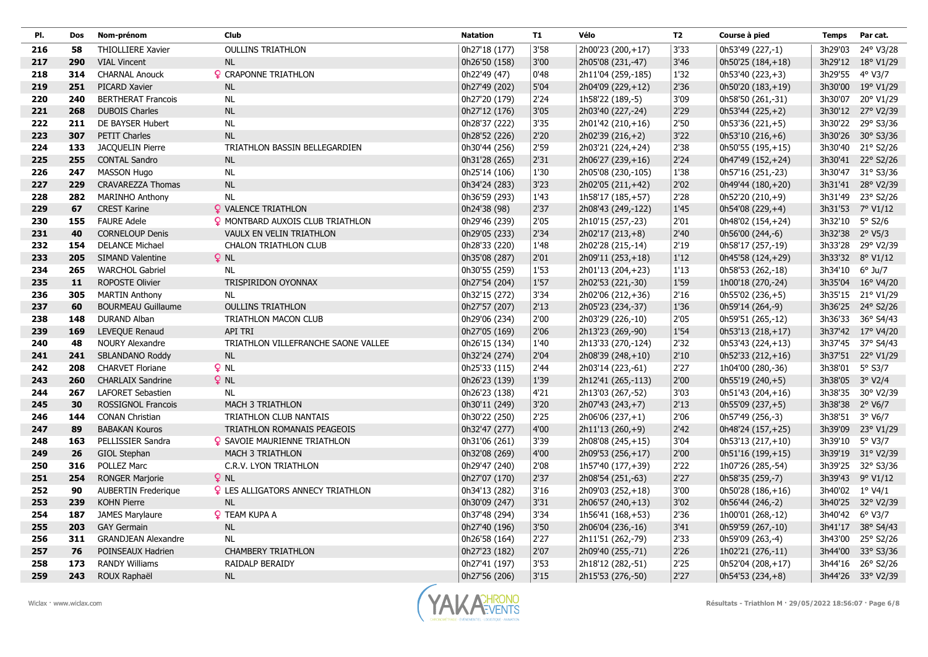| PI. | Dos | Nom-prénom                 | <b>Club</b>                              | <b>Natation</b> | <b>T1</b> | Vélo               | <b>T2</b> | Course à pied      | <b>Temps</b>    | Par cat.          |
|-----|-----|----------------------------|------------------------------------------|-----------------|-----------|--------------------|-----------|--------------------|-----------------|-------------------|
| 216 | 58  | <b>THIOLLIERE Xavier</b>   | <b>OULLINS TRIATHLON</b>                 | 0h27'18 (177)   | 3'58      | 2h00'23 (200,+17)  | 3'33      | 0h53'49 (227,-1)   |                 | 3h29'03 24° V3/28 |
| 217 | 290 | <b>VIAL Vincent</b>        | <b>NL</b>                                | 0h26'50 (158)   | 3'00      | 2h05'08 (231,-47)  | 3'46      | 0h50'25 (184,+18)  |                 | 3h29'12 18° V1/29 |
| 218 | 314 | <b>CHARNAL Anouck</b>      | <b>Q</b> CRAPONNE TRIATHLON              | 0h22'49 (47)    | 0'48      | 2h11'04 (259,-185) | 1'32      | 0h53'40 (223,+3)   | 3h29'55 4° V3/7 |                   |
| 219 | 251 | PICARD Xavier              | <b>NL</b>                                | 0h27'49 (202)   | 5'04      | 2h04'09 (229,+12)  | 2'36      | 0h50'20 (183,+19)  |                 | 3h30'00 19° V1/29 |
| 220 | 240 | <b>BERTHERAT Francois</b>  | <b>NL</b>                                | 0h27'20 (179)   | 2'24      | 1h58'22 (189,-5)   | 3'09      | 0h58'50 (261,-31)  | 3h30'07         | 20° V1/29         |
| 221 | 268 | <b>DUBOIS Charles</b>      | <b>NL</b>                                | 0h27'12 (176)   | 3'05      | 2h03'40 (227,-24)  | 2'29      | 0h53'44 (225,+2)   |                 | 3h30'12 27° V2/39 |
| 222 | 211 | DE BAYSER Hubert           | <b>NL</b>                                | 0h28'37 (222)   | 3'35      | 2h01'42 (210,+16)  | 2'50      | 0h53'36 (221,+5)   |                 | 3h30'22 29° S3/36 |
| 223 | 307 | <b>PETIT Charles</b>       | NL                                       | 0h28'52 (226)   | 2'20      | 2h02'39 (216, +2)  | 3'22      | $0h53'10(216,+6)$  |                 | 3h30'26 30° S3/36 |
| 224 | 133 | JACQUELIN Pierre           | TRIATHLON BASSIN BELLEGARDIEN            | 0h30'44 (256)   | 2'59      | 2h03'21 (224,+24)  | 2'38      | 0h50'55 (195,+15)  |                 | 3h30'40 21° S2/26 |
| 225 | 255 | <b>CONTAL Sandro</b>       | <b>NL</b>                                | 0h31'28 (265)   | 2'31      | 2h06'27 (239, +16) | 2'24      | 0h47'49 (152,+24)  |                 | 3h30'41 22° S2/26 |
| 226 | 247 | <b>MASSON Hugo</b>         | <b>NL</b>                                | 0h25'14 (106)   | 1'30      | 2h05'08 (230,-105) | 1'38      | 0h57'16 (251,-23)  |                 | 3h30'47 31° S3/36 |
| 227 | 229 | <b>CRAVAREZZA Thomas</b>   | <b>NL</b>                                | 0h34'24 (283)   | 3'23      | 2h02'05 (211,+42)  | 2'02      | 0h49'44 (180,+20)  |                 | 3h31'41 28° V2/39 |
| 228 | 282 | <b>MARINHO Anthony</b>     | <b>NL</b>                                | 0h36'59 (293)   | 1'43      | 1h58'17 (185,+57)  | 2'28      | $0h52'20(210,+9)$  |                 | 3h31'49 23° S2/26 |
| 229 | 67  | <b>CREST Karine</b>        | <b>Q</b> VALENCE TRIATHLON               | 0h24'38 (98)    | 2'37      | 2h08'43 (249,-122) | 1'45      | 0h54'08 (229,+4)   |                 | 3h31'53 7° V1/12  |
| 230 | 155 | <b>FAURE Adele</b>         | <b>Q</b> MONTBARD AUXOIS CLUB TRIATHLON  | 0h29'46 (239)   | 2'05      | 2h10'15 (257,-23)  | 2'01      | 0h48'02 (154,+24)  | 3h32'10 5° S2/6 |                   |
| 231 | 40  | <b>CORNELOUP Denis</b>     | VAULX EN VELIN TRIATHLON                 | 0h29'05 (233)   | 2'34      | 2h02'17 (213, +8)  | $2'40$    | 0h56'00 (244,-6)   | 3h32'38 2° V5/3 |                   |
| 232 | 154 | <b>DELANCE Michael</b>     | <b>CHALON TRIATHLON CLUB</b>             | 0h28'33 (220)   | 1'48      | 2h02'28 (215,-14)  | 2'19      | 0h58'17 (257,-19)  |                 | 3h33'28 29° V2/39 |
| 233 | 205 | SIMAND Valentine           | $Q$ NL                                   | 0h35'08 (287)   | 2'01      | 2h09'11 (253, +18) | 1'12      | 0h45'58 (124,+29)  |                 | 3h33'32 8° V1/12  |
| 234 | 265 | <b>WARCHOL Gabriel</b>     | <b>NL</b>                                | 0h30'55 (259)   | 1'53      | 2h01'13 (204,+23)  | $1'13$    | 0h58'53 (262,-18)  | 3h34'10 6° Ju/7 |                   |
| 235 | 11  | <b>ROPOSTE Olivier</b>     | TRISPIRIDON OYONNAX                      | 0h27'54 (204)   | 1'57      | 2h02'53 (221,-30)  | 1'59      | 1h00'18 (270,-24)  |                 | 3h35'04 16° V4/20 |
| 236 | 305 | <b>MARTIN Anthony</b>      | <b>NL</b>                                | 0h32'15 (272)   | 3'34      | 2h02'06 (212,+36)  | 2'16      | 0h55'02 (236,+5)   |                 | 3h35'15 21° V1/29 |
| 237 | 60  | <b>BOURMEAU Guillaume</b>  | <b>OULLINS TRIATHLON</b>                 | 0h27'57 (207)   | 2'13      | 2h05'23 (234,-37)  | 1'36      | 0h59'14 (264,-9)   |                 | 3h36'25 24° S2/26 |
| 238 | 148 | DURAND Alban               | TRIATHLON MACON CLUB                     | 0h29'06 (234)   | 2'00      | 2h03'29 (226,-10)  | 2'05      | 0h59'51 (265,-12)  |                 | 3h36'33 36° S4/43 |
| 239 | 169 | LEVEQUE Renaud             | <b>API TRI</b>                           | 0h27'05 (169)   | 2'06      | 2h13'23 (269,-90)  | 1'54      | 0h53'13 (218,+17)  |                 | 3h37'42 17° V4/20 |
| 240 | 48  | <b>NOURY Alexandre</b>     | TRIATHLON VILLEFRANCHE SAONE VALLEE      | 0h26'15 (134)   | 1'40      | 2h13'33 (270,-124) | 2'32      | 0h53'43 (224,+13)  |                 | 3h37'45 37° S4/43 |
| 241 | 241 | <b>SBLANDANO Roddy</b>     | <b>NL</b>                                | 0h32'24 (274)   | 2'04      | 2h08'39 (248,+10)  | 2'10      | 0h52'33 (212,+16)  |                 | 3h37'51 22° V1/29 |
| 242 | 208 | <b>CHARVET Floriane</b>    | $Q$ NL                                   | 0h25'33 (115)   | 2'44      | 2h03'14 (223,-61)  | 2'27      | 1h04'00 (280,-36)  | 3h38'01 5° S3/7 |                   |
| 243 | 260 | <b>CHARLAIX Sandrine</b>   | $Q$ NL                                   | 0h26'23 (139)   | 1'39      | 2h12'41 (265,-113) | 2'00      | 0h55'19 (240,+5)   | 3h38'05 3° V2/4 |                   |
| 244 | 267 | <b>LAFORET Sebastien</b>   | <b>NL</b>                                | 0h26'23 (138)   | 4'21      | 2h13'03 (267,-52)  | 3'03      | 0h51'43 (204,+16)  |                 | 3h38'35 30° V2/39 |
| 245 | 30  | <b>ROSSIGNOL Francois</b>  | <b>MACH 3 TRIATHLON</b>                  | 0h30'11 (249)   | 3'20      | 2h07'43 (243,+7)   | 2'13      | 0h55'09 (237,+5)   | 3h38'38 2° V6/7 |                   |
| 246 | 144 | <b>CONAN Christian</b>     | TRIATHLON CLUB NANTAIS                   | 0h30'22 (250)   | 2'25      | 2h06'06 (237, +1)  | 2'06      | 0h57'49 (256,-3)   | 3h38'51         | 3° V6/7           |
| 247 | 89  | <b>BABAKAN Kouros</b>      | TRIATHLON ROMANAIS PEAGEOIS              | 0h32'47 (277)   | 4'00      | 2h11'13 (260,+9)   | 2'42      | 0h48'24 (157, +25) | 3h39'09         | 23° V1/29         |
| 248 | 163 | PELLISSIER Sandra          | <b>Q</b> SAVOIE MAURIENNE TRIATHLON      | 0h31'06 (261)   | 3'39      | 2h08'08 (245, +15) | 3'04      | 0h53'13 (217, +10) | 3h39'10 5° V3/7 |                   |
| 249 | 26  | GIOL Stephan               | MACH 3 TRIATHLON                         | 0h32'08 (269)   | 4'00      | 2h09'53 (256,+17)  | 2'00      | 0h51'16 (199,+15)  |                 | 3h39'19 31° V2/39 |
| 250 | 316 | POLLEZ Marc                | C.R.V. LYON TRIATHLON                    | 0h29'47 (240)   | 2'08      | 1h57'40 (177,+39)  | 2'22      | 1h07'26 (285,-54)  |                 | 3h39'25 32° S3/36 |
| 251 | 254 | <b>RONGER Marjorie</b>     | $Q$ NL                                   | 0h27'07 (170)   | 2'37      | 2h08'54 (251,-63)  | 2'27      | 0h58'35 (259,-7)   |                 | 3h39'43 9° V1/12  |
| 252 | 90  | <b>AUBERTIN Frederique</b> | <b>Q</b> LES ALLIGATORS ANNECY TRIATHLON | 0h34'13 (282)   | 3'16      | 2h09'03 (252,+18)  | 3'00      | 0h50'28 (186,+16)  | 3h40'02 1° V4/1 |                   |
| 253 | 239 | <b>KOHN Pierre</b>         | <b>NL</b>                                | 0h30'09 (247)   | 3'31      | 2h06'57 (240,+13)  | 3'02      | 0h56'44 (246,-2)   |                 | 3h40'25 32° V2/39 |
| 254 | 187 | JAMES Marylaure            | <b>P</b> TEAM KUPA A                     | 0h37'48 (294)   | 3'34      | 1h56'41 (168,+53)  | 2'36      | 1h00'01 (268,-12)  |                 | 3h40'42 6° V3/7   |
| 255 | 203 | <b>GAY Germain</b>         | <b>NL</b>                                | 0h27'40 (196)   | 3'50      | 2h06'04 (236,-16)  | 3'41      | 0h59'59 (267,-10)  |                 | 3h41'17 38° S4/43 |
| 256 | 311 | <b>GRANDJEAN Alexandre</b> | <b>NL</b>                                | 0h26'58 (164)   | 2'27      | 2h11'51 (262,-79)  | 2'33      | 0h59'09 (263,-4)   |                 | 3h43'00 25° S2/26 |
| 257 | 76  | POINSEAUX Hadrien          | <b>CHAMBERY TRIATHLON</b>                | 0h27'23 (182)   | 2'07      | 2h09'40 (255,-71)  | 2'26      | 1h02'21 (276,-11)  |                 | 3h44'00 33° S3/36 |
| 258 | 173 | <b>RANDY Williams</b>      | <b>RAIDALP BERAIDY</b>                   | 0h27'41 (197)   | 3'53      | 2h18'12 (282,-51)  | 2'25      | 0h52'04 (208,+17)  |                 | 3h44'16 26° S2/26 |
| 259 | 243 | ROUX Raphaël               | <b>NL</b>                                | 0h27'56 (206)   | 3'15      | 2h15'53 (276,-50)  | 2'27      | 0h54'53 (234,+8)   |                 | 3h44'26 33° V2/39 |

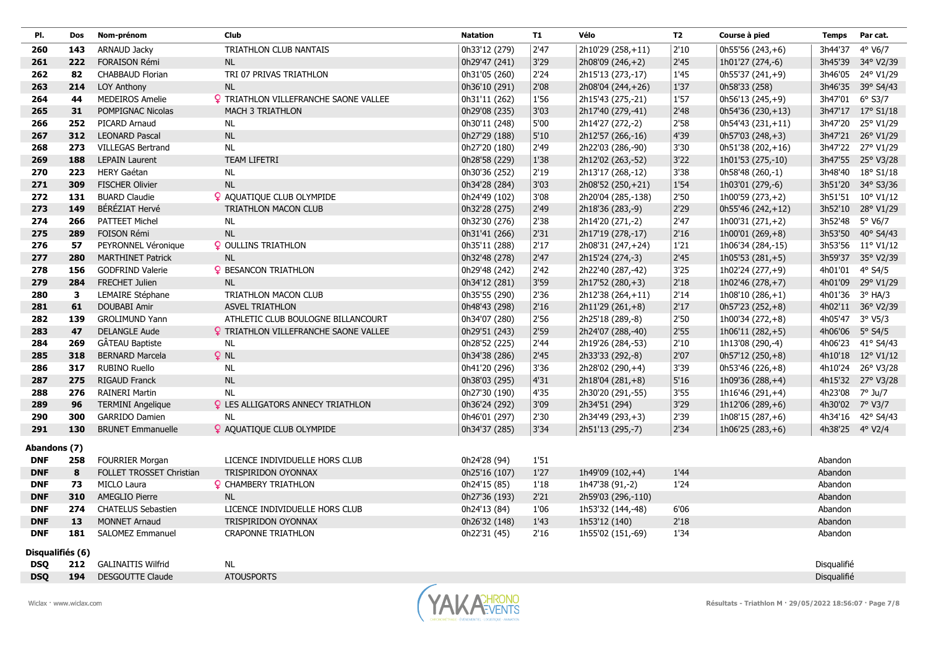|                                                                                                                                           |                     | <b>Temps</b><br>Par cat. |
|-------------------------------------------------------------------------------------------------------------------------------------------|---------------------|--------------------------|
| 0h33'12 (279)<br>2'47<br>2h10'29 (258,+11)<br>2'10<br>143<br>ARNAUD Jacky<br><b>TRIATHLON CLUB NANTAIS</b><br>260                         | 0h55'56 (243,+6)    | 4° V6/7<br>3h44'37       |
| 3'29<br>222<br>FORAISON Rémi<br><b>NL</b><br>0h29'47 (241)<br>2'45<br>261<br>2h08'09 (246, +2)                                            | 1h01'27 (274,-6)    | 3h45'39 34° V2/39        |
| 2'24<br>82<br><b>CHABBAUD Florian</b><br>TRI 07 PRIVAS TRIATHLON<br>0h31'05 (260)<br>2h15'13 (273,-17)<br>262<br>1'45                     | 0h55'37 (241,+9)    | 3h46'05<br>24° V1/29     |
| <b>NL</b><br>0h36'10 (291)<br>263<br>214<br>LOY Anthony<br>2'08<br>2h08'04 (244,+26)<br>1'37                                              | 0h58'33 (258)       | 3h46'35 39° S4/43        |
| <b>MEDEIROS Amelie</b><br><b>Q</b> TRIATHLON VILLEFRANCHE SAONE VALLEE<br>0h31'11 (262)<br>1'56<br>264<br>44<br>2h15'43 (275,-21)<br>1'57 | 0h56'13 (245,+9)    | 3h47'01 6° S3/7          |
| 0h29'08 (235)<br>3'03<br>2'48<br>31<br>POMPIGNAC Nicolas<br><b>MACH 3 TRIATHLON</b><br>2h17'40 (279,-41)<br>265                           | 0h54'36 (230,+13)   | 3h47'17 17° S1/18        |
| 0h30'11 (248)<br>5'00<br>2'58<br>266<br>252<br>PICARD Arnaud<br><b>NL</b><br>2h14'27 (272,-2)                                             | 0h54'43 (231,+11)   | 3h47'20 25° V1/29        |
| <b>NL</b><br>5'10<br>312<br><b>LEONARD Pascal</b><br>0h27'29 (188)<br>2h12'57 (266,-16)<br>4'39<br>267                                    | 0h57'03 (248,+3)    | 3h47'21 26° V1/29        |
| <b>NL</b><br>0h27'20 (180)<br>2'49<br>2h22'03 (286,-90)<br>273<br><b>VILLEGAS Bertrand</b><br>3'30<br>268                                 | 0h51'38 (202,+16)   | 3h47'22<br>27° V1/29     |
| <b>TEAM LIFETRI</b><br>269<br>188<br><b>LEPAIN Laurent</b><br>0h28'58 (229)<br>1'38<br>2h12'02 (263,-52)<br>3'22                          | 1h01'53 (275,-10)   | 3h47'55 25° V3/28        |
| 223<br><b>HERY Gaétan</b><br>0h30'36 (252)<br>2'19<br>3'38<br>270<br><b>NL</b><br>2h13'17 (268,-12)                                       | 0h58'48 (260,-1)    | 3h48'40 18° S1/18        |
| NL<br>309<br><b>FISCHER Olivier</b><br>0h34'28 (284)<br>3'03<br>2h08'52 (250,+21)<br>1'54<br>271                                          | 1h03'01 (279,-6)    | 3h51'20 34° S3/36        |
| <b>BUARD Claudie</b><br>P AQUATIQUE CLUB OLYMPIDE<br>3'08<br>272<br>131<br>0h24'49 (102)<br>2h20'04 (285,-138)<br>2'50                    | 1h00'59 (273,+2)    | 3h51'51 10° V1/12        |
| BÉRÉZIAT Hervé<br>2'49<br>149<br>TRIATHLON MACON CLUB<br>0h32'28 (275)<br>2h18'36 (283,-9)<br>2'29<br>273                                 | 0h55'46 (242,+12)   | 3h52'10 28° V1/29        |
| PATTEET Michel<br>0h32'30 (276)<br>2'47<br>274<br>266<br><b>NL</b><br>2'38<br>2h14'20 (271,-2)                                            | $1h00'31(271,+2)$   | 3h52'48 5° V6/7          |
| NL<br>289<br>FOISON Rémi<br>0h31'41 (266)<br>2'31<br>2'16<br>275<br>2h17'19 (278,-17)                                                     | 1h00'01 $(269, +8)$ | 3h53'50 40° S4/43        |
| PEYRONNEL Véronique<br><b>Q</b> OULLINS TRIATHLON<br>0h35'11 (288)<br>2'17<br>276<br>57<br>2h08'31 (247, +24)<br>1'21                     | 1h06'34 (284,-15)   | 3h53'56 11° V1/12        |
| 2'47<br>2'45<br>277<br>280<br><b>MARTHINET Patrick</b><br><b>NL</b><br>0h32'48 (278)<br>2h15'24 (274,-3)                                  | 1h05'53 (281,+5)    | 3h59'37 35° V2/39        |
| <b>GODFRIND Valerie</b><br>2'42<br>156<br><b>Q</b> BESANCON TRIATHLON<br>0h29'48 (242)<br>2h22'40 (287,-42)<br>3'25<br>278                | 1h02'24 (277,+9)    | 4h01'01 4° S4/5          |
| 0h34'12 (281)<br>3'59<br>279<br>284<br>FRECHET Julien<br><b>NL</b><br>2h17'52 (280,+3)<br>2'18                                            | 1h02'46 (278,+7)    | 4h01'09 29° V1/29        |
| 280<br>3<br>LEMAIRE Stéphane<br>TRIATHLON MACON CLUB<br>0h35'55 (290)<br>2'36<br>2'14<br>2h12'38 (264, +11)                               | $1h08'10(286,+1)$   | 4h01'36 3° HA/3          |
| 61<br>2'16<br> 2'17<br><b>DOUBABI Amir</b><br><b>ASVEL TRIATHLON</b><br>0h48'43 (298)<br>2h11'29 (261,+8)<br>281                          | 0h57'23 (252,+8)    | 36° V2/39<br>4h02'11     |
| 2'56<br>282<br>139<br><b>GROLIMUND Yann</b><br>ATHLETIC CLUB BOULOGNE BILLANCOURT<br>0h34'07 (280)<br>2h25'18 (289,-8)<br>2'50            | 1h00'34 (272,+8)    | 4h05'47 3° V5/3          |
| 2'59<br>47<br><b>DELANGLE Aude</b><br><b>Q</b> TRIATHLON VILLEFRANCHE SAONE VALLEE<br>0h29'51 (243)<br>2'55<br>283<br>2h24'07 (288,-40)   | 1h06'11 (282, +5)   | 4h06'06 5° S4/5          |
| GÂTEAU Baptiste<br>269<br><b>NL</b><br>0h28'52 (225)<br>2'44<br>284<br>2h19'26 (284,-53)<br>2'10                                          | 1h13'08 (290,-4)    | 4h06'23 41° S4/43        |
| $Q$ NL<br>318<br><b>BERNARD Marcela</b><br>0h34'38 (286)<br>2'45<br>2h33'33 (292,-8)<br>2'07<br>285                                       | 0h57'12 (250,+8)    | 4h10'18 12° V1/12        |
| NL<br>3'36<br>286<br>317<br><b>RUBINO Ruello</b><br>0h41'20 (296)<br>2h28'02 (290,+4)<br>3'39                                             | 0h53'46 (226,+8)    | 4h10'24 26° V3/28        |
| NL<br>275<br><b>RIGAUD Franck</b><br>0h38'03 (295)<br>4'31<br>5'16<br>287<br>2h18'04 (281, +8)                                            | 1h09'36 (288,+4)    | 4h15'32 27° V3/28        |
| <b>NL</b><br>276<br><b>RAINERI Martin</b><br>0h27'30 (190)<br>4'35<br>2h30'20 (291,-55)<br>3'55<br>288                                    | 1h16'46 (291,+4)    | 4h23'08 7° Ju/7          |
| 3'09<br>96<br><b>Q</b> LES ALLIGATORS ANNECY TRIATHLON<br>0h36'24 (292)<br>2h34'51 (294)<br>3'29<br>289<br><b>TERMINI Angelique</b>       | 1h12'06 (289,+6)    | 4h30'02<br>7° V3/7       |
| 290<br>300<br><b>GARRIDO Damien</b><br><b>NL</b><br>0h46'01 (297)<br>2'30<br>2h34'49 (293,+3)<br>2'39                                     | 1h08'15 (287,+6)    | 42° S4/43<br>4h34'16     |
| 3'34<br>291<br>130<br><b>BRUNET Emmanuelle</b><br><b>Q</b> AQUATIQUE CLUB OLYMPIDE<br>2'34<br>0h34'37 (285)<br>2h51'13 (295,-7)           | 1h06'25 (283,+6)    | 4h38'25  4° V2/4         |
| Abandons (7)                                                                                                                              |                     |                          |
| 0h24'28 (94)<br><b>DNF</b><br>258<br><b>FOURRIER Morgan</b><br>LICENCE INDIVIDUELLE HORS CLUB<br>1'51                                     |                     | Abandon                  |
| 8<br>FOLLET TROSSET Christian<br>0h25'16 (107)<br>1'27<br>1h49'09 (102,+4)<br>1'44<br><b>DNF</b><br>TRISPIRIDON OYONNAX                   |                     | Abandon                  |
| MICLO Laura<br><b>Q</b> CHAMBERY TRIATHLON<br>0h24'15 (85)<br>1'24<br><b>DNF</b><br>73<br>1'18<br>1h47'38 (91,-2)                         |                     | Abandon                  |
| 310<br>AMEGLIO Pierre<br>2'21<br><b>DNF</b><br><b>NL</b><br>0h27'36 (193)<br>2h59'03 (296,-110)                                           |                     | Abandon                  |
| LICENCE INDIVIDUELLE HORS CLUB<br>274<br>CHATELUS Sebastien<br>0h24'13 (84)<br>1'06<br>1h53'32 (144,-48)<br>6'06<br><b>DNF</b>            |                     | Abandon                  |
| 0h26'32 (148)<br>1'43<br>2'18<br><b>DNF</b><br>13<br><b>MONNET Arnaud</b><br>TRISPIRIDON OYONNAX<br>1h53'12 (140)                         |                     | Abandon                  |
| 181<br><b>DNF</b><br><b>SALOMEZ Emmanuel</b><br><b>CRAPONNE TRIATHLON</b><br>0h22'31 (45)<br>2'16<br>1'34<br>1h55'02 (151,-69)            |                     | Abandon                  |
| Disqualifiés (6)                                                                                                                          |                     |                          |
| <b>DSQ</b><br>212<br><b>GALINAITIS Wilfrid</b><br>NL                                                                                      |                     | Disqualifié              |
| <b>DESGOUTTE Claude</b><br><b>ATOUSPORTS</b><br><b>DSQ</b><br>194                                                                         |                     | <b>Disqualifié</b>       |